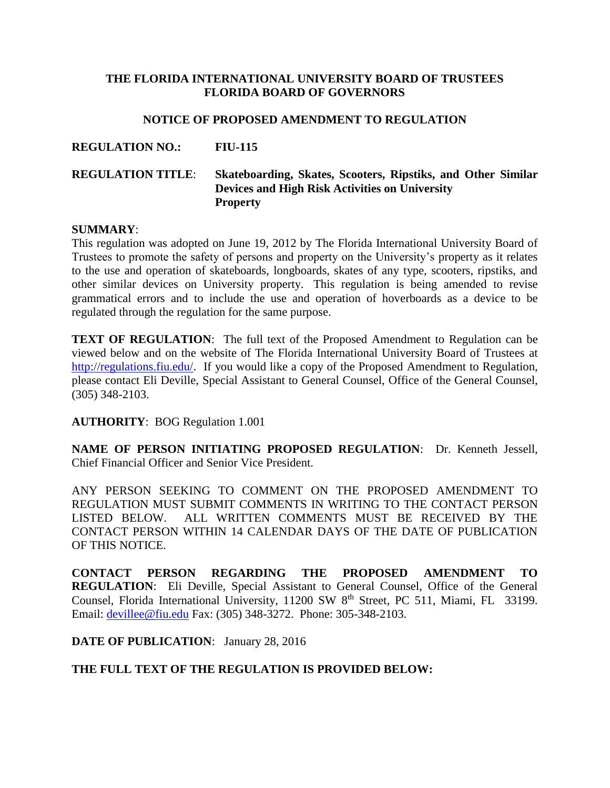### **THE FLORIDA INTERNATIONAL UNIVERSITY BOARD OF TRUSTEES FLORIDA BOARD OF GOVERNORS**

#### **NOTICE OF PROPOSED AMENDMENT TO REGULATION**

# **REGULATION NO.: FIU-115 REGULATION TITLE**: **Skateboarding, Skates, Scooters, Ripstiks, and Other Similar Devices and High Risk Activities on University Property**

#### **SUMMARY**:

This regulation was adopted on June 19, 2012 by The Florida International University Board of Trustees to promote the safety of persons and property on the University's property as it relates to the use and operation of skateboards, longboards, skates of any type, scooters, ripstiks, and other similar devices on University property. This regulation is being amended to revise grammatical errors and to include the use and operation of hoverboards as a device to be regulated through the regulation for the same purpose.

**TEXT OF REGULATION:** The full text of the Proposed Amendment to Regulation can be viewed below and on the website of The Florida International University Board of Trustees at [http://regulations.fiu.edu/.](http://regulations.fiu.edu/) If you would like a copy of the Proposed Amendment to Regulation, please contact Eli Deville, Special Assistant to General Counsel, Office of the General Counsel, (305) 348-2103.

#### **AUTHORITY**: BOG Regulation 1.001

**NAME OF PERSON INITIATING PROPOSED REGULATION**: Dr. Kenneth Jessell, Chief Financial Officer and Senior Vice President.

ANY PERSON SEEKING TO COMMENT ON THE PROPOSED AMENDMENT TO REGULATION MUST SUBMIT COMMENTS IN WRITING TO THE CONTACT PERSON LISTED BELOW. ALL WRITTEN COMMENTS MUST BE RECEIVED BY THE CONTACT PERSON WITHIN 14 CALENDAR DAYS OF THE DATE OF PUBLICATION OF THIS NOTICE.

**CONTACT PERSON REGARDING THE PROPOSED AMENDMENT TO REGULATION**: Eli Deville, Special Assistant to General Counsel, Office of the General Counsel, Florida International University, 11200 SW 8<sup>th</sup> Street, PC 511, Miami, FL 33199. Email: [devillee@fiu.edu](mailto:devillee@fiu.edu) Fax: (305) 348-3272. Phone: 305-348-2103.

#### **DATE OF PUBLICATION**: January 28, 2016

### **THE FULL TEXT OF THE REGULATION IS PROVIDED BELOW:**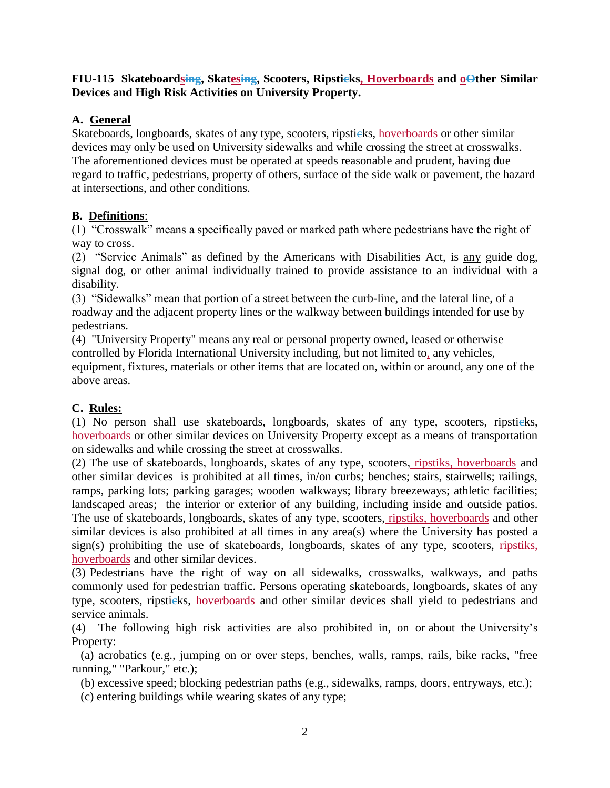## **FIU-115** Skateboardsing, Skatesing, Scooters, Ripstieks, Hoverboards and **o**Other Similar **Devices and High Risk Activities on University Property.**

## **A. General**

Skateboards, longboards, skates of any type, scooters, ripsticks, hoverboards or other similar devices may only be used on University sidewalks and while crossing the street at crosswalks. The aforementioned devices must be operated at speeds reasonable and prudent, having due regard to traffic, pedestrians, property of others, surface of the side walk or pavement, the hazard at intersections, and other conditions.

## **B. Definitions**:

(1) "Crosswalk" means a specifically paved or marked path where pedestrians have the right of way to cross.

(2) "Service Animals" as defined by the Americans with Disabilities Act, is any guide dog, signal dog, or other animal individually trained to provide assistance to an individual with a disability.

(3) "Sidewalks" mean that portion of a street between the curb-line, and the lateral line, of a roadway and the adjacent property lines or the walkway between buildings intended for use by pedestrians.

(4) "University Property" means any real or personal property owned, leased or otherwise controlled by Florida International University including, but not limited to, any vehicles, equipment, fixtures, materials or other items that are located on, within or around, any one of the above areas.

## **C. Rules:**

(1) No person shall use skateboards, longboards, skates of any type, scooters, ripstieks, hoverboards or other similar devices on University Property except as a means of transportation on sidewalks and while crossing the street at crosswalks.

(2) The use of skateboards, longboards, skates of any type, scooters, ripstiks, hoverboards and other similar devices is prohibited at all times, in/on curbs; benches; stairs, stairwells; railings, ramps, parking lots; parking garages; wooden walkways; library breezeways; athletic facilities; landscaped areas; -the interior or exterior of any building, including inside and outside patios. The use of skateboards, longboards, skates of any type, scooters, ripstiks, hoverboards and other similar devices is also prohibited at all times in any area(s) where the University has posted a sign(s) prohibiting the use of skateboards, longboards, skates of any type, scooters, ripstiks, hoverboards and other similar devices.

(3) Pedestrians have the right of way on all sidewalks, crosswalks, walkways, and paths commonly used for pedestrian traffic. Persons operating skateboards, longboards, skates of any type, scooters, ripsticks, hoverboards and other similar devices shall yield to pedestrians and service animals.

(4) The following high risk activities are also prohibited in, on or about the University's Property:

 (a) acrobatics (e.g., jumping on or over steps, benches, walls, ramps, rails, bike racks, "free running," "Parkour," etc.);

(b) excessive speed; blocking pedestrian paths (e.g., sidewalks, ramps, doors, entryways, etc.);

(c) entering buildings while wearing skates of any type;